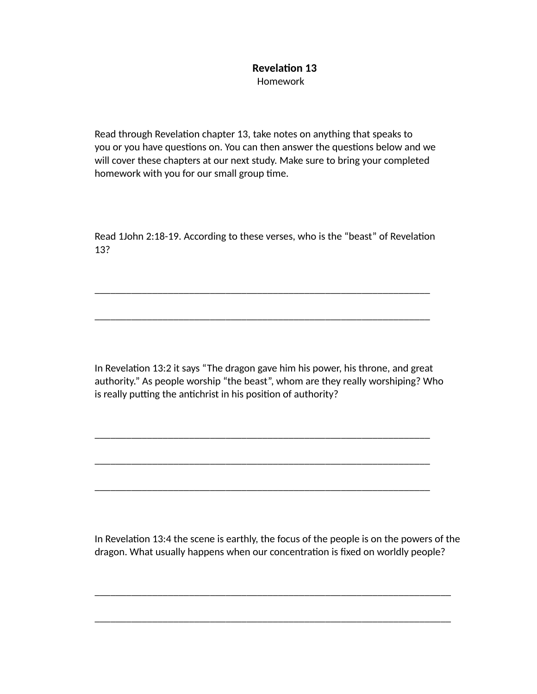## **Revelation 13** Homework

Read through Revelation chapter 13, take notes on anything that speaks to you or you have questions on. You can then answer the questions below and we will cover these chapters at our next study. Make sure to bring your completed homework with you for our small group time.

Read 1John 2:18-19. According to these verses, who is the "beast" of Revelation 13?

\_\_\_\_\_\_\_\_\_\_\_\_\_\_\_\_\_\_\_\_\_\_\_\_\_\_\_\_\_\_\_\_\_\_\_\_\_\_\_\_\_\_\_\_\_\_\_\_\_\_\_\_\_\_\_\_\_\_\_\_\_\_\_\_

\_\_\_\_\_\_\_\_\_\_\_\_\_\_\_\_\_\_\_\_\_\_\_\_\_\_\_\_\_\_\_\_\_\_\_\_\_\_\_\_\_\_\_\_\_\_\_\_\_\_\_\_\_\_\_\_\_\_\_\_\_\_\_\_

\_\_\_\_\_\_\_\_\_\_\_\_\_\_\_\_\_\_\_\_\_\_\_\_\_\_\_\_\_\_\_\_\_\_\_\_\_\_\_\_\_\_\_\_\_\_\_\_\_\_\_\_\_\_\_\_\_\_\_\_\_\_\_\_

\_\_\_\_\_\_\_\_\_\_\_\_\_\_\_\_\_\_\_\_\_\_\_\_\_\_\_\_\_\_\_\_\_\_\_\_\_\_\_\_\_\_\_\_\_\_\_\_\_\_\_\_\_\_\_\_\_\_\_\_\_\_\_\_

\_\_\_\_\_\_\_\_\_\_\_\_\_\_\_\_\_\_\_\_\_\_\_\_\_\_\_\_\_\_\_\_\_\_\_\_\_\_\_\_\_\_\_\_\_\_\_\_\_\_\_\_\_\_\_\_\_\_\_\_\_\_\_\_

In Revelation 13:2 it says "The dragon gave him his power, his throne, and great authority." As people worship "the beast", whom are they really worshiping? Who is really putting the antichrist in his position of authority?

In Revelation 13:4 the scene is earthly, the focus of the people is on the powers of the dragon. What usually happens when our concentration is fixed on worldly people?

\_\_\_\_\_\_\_\_\_\_\_\_\_\_\_\_\_\_\_\_\_\_\_\_\_\_\_\_\_\_\_\_\_\_\_\_\_\_\_\_\_\_\_\_\_\_\_\_\_\_\_\_\_\_\_\_\_\_\_\_\_\_\_\_\_\_\_\_

\_\_\_\_\_\_\_\_\_\_\_\_\_\_\_\_\_\_\_\_\_\_\_\_\_\_\_\_\_\_\_\_\_\_\_\_\_\_\_\_\_\_\_\_\_\_\_\_\_\_\_\_\_\_\_\_\_\_\_\_\_\_\_\_\_\_\_\_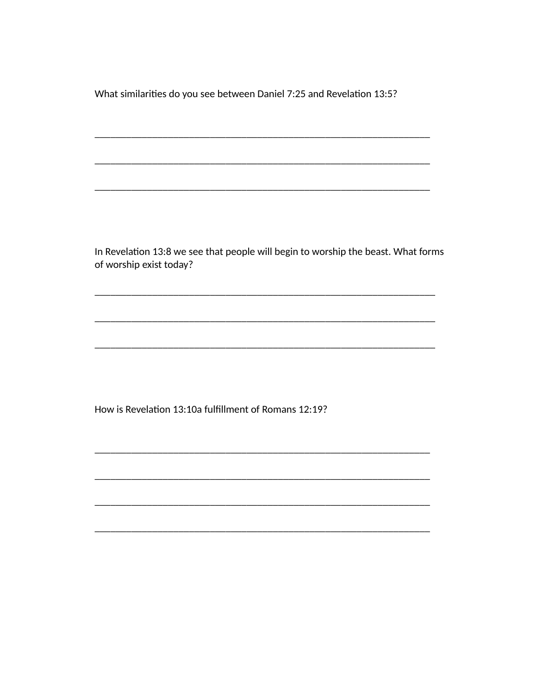What similarities do you see between Daniel 7:25 and Revelation 13:5?

In Revelation 13:8 we see that people will begin to worship the beast. What forms of worship exist today?

How is Revelation 13:10a fulfillment of Romans 12:19?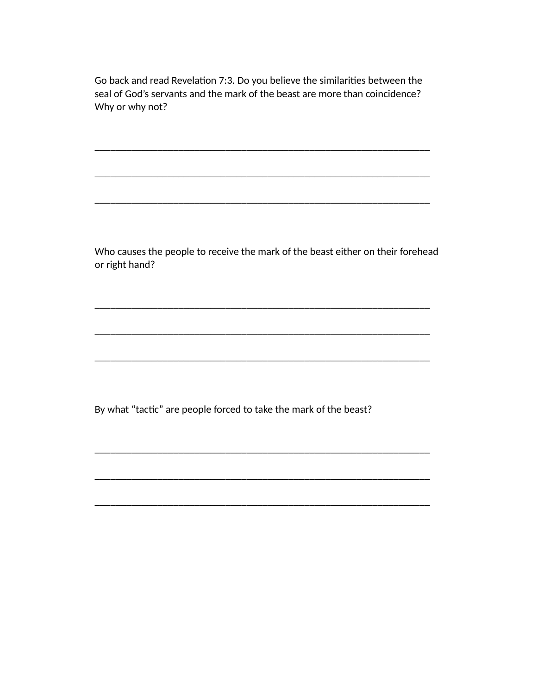Go back and read Revelation 7:3. Do you believe the similarities between the seal of God's servants and the mark of the beast are more than coincidence? Why or why not?

\_\_\_\_\_\_\_\_\_\_\_\_\_\_\_\_\_\_\_\_\_\_\_\_\_\_\_\_\_\_\_\_\_\_\_\_\_\_\_\_\_\_\_\_\_\_\_\_\_\_\_\_\_\_\_\_\_\_\_\_\_\_\_\_

\_\_\_\_\_\_\_\_\_\_\_\_\_\_\_\_\_\_\_\_\_\_\_\_\_\_\_\_\_\_\_\_\_\_\_\_\_\_\_\_\_\_\_\_\_\_\_\_\_\_\_\_\_\_\_\_\_\_\_\_\_\_\_\_

\_\_\_\_\_\_\_\_\_\_\_\_\_\_\_\_\_\_\_\_\_\_\_\_\_\_\_\_\_\_\_\_\_\_\_\_\_\_\_\_\_\_\_\_\_\_\_\_\_\_\_\_\_\_\_\_\_\_\_\_\_\_\_\_

\_\_\_\_\_\_\_\_\_\_\_\_\_\_\_\_\_\_\_\_\_\_\_\_\_\_\_\_\_\_\_\_\_\_\_\_\_\_\_\_\_\_\_\_\_\_\_\_\_\_\_\_\_\_\_\_\_\_\_\_\_\_\_\_

\_\_\_\_\_\_\_\_\_\_\_\_\_\_\_\_\_\_\_\_\_\_\_\_\_\_\_\_\_\_\_\_\_\_\_\_\_\_\_\_\_\_\_\_\_\_\_\_\_\_\_\_\_\_\_\_\_\_\_\_\_\_\_\_

\_\_\_\_\_\_\_\_\_\_\_\_\_\_\_\_\_\_\_\_\_\_\_\_\_\_\_\_\_\_\_\_\_\_\_\_\_\_\_\_\_\_\_\_\_\_\_\_\_\_\_\_\_\_\_\_\_\_\_\_\_\_\_\_

\_\_\_\_\_\_\_\_\_\_\_\_\_\_\_\_\_\_\_\_\_\_\_\_\_\_\_\_\_\_\_\_\_\_\_\_\_\_\_\_\_\_\_\_\_\_\_\_\_\_\_\_\_\_\_\_\_\_\_\_\_\_\_\_

\_\_\_\_\_\_\_\_\_\_\_\_\_\_\_\_\_\_\_\_\_\_\_\_\_\_\_\_\_\_\_\_\_\_\_\_\_\_\_\_\_\_\_\_\_\_\_\_\_\_\_\_\_\_\_\_\_\_\_\_\_\_\_\_

\_\_\_\_\_\_\_\_\_\_\_\_\_\_\_\_\_\_\_\_\_\_\_\_\_\_\_\_\_\_\_\_\_\_\_\_\_\_\_\_\_\_\_\_\_\_\_\_\_\_\_\_\_\_\_\_\_\_\_\_\_\_\_\_

 Who causes the people to receive the mark of the beast either on their forehead or right hand?

By what "tactic" are people forced to take the mark of the beast?